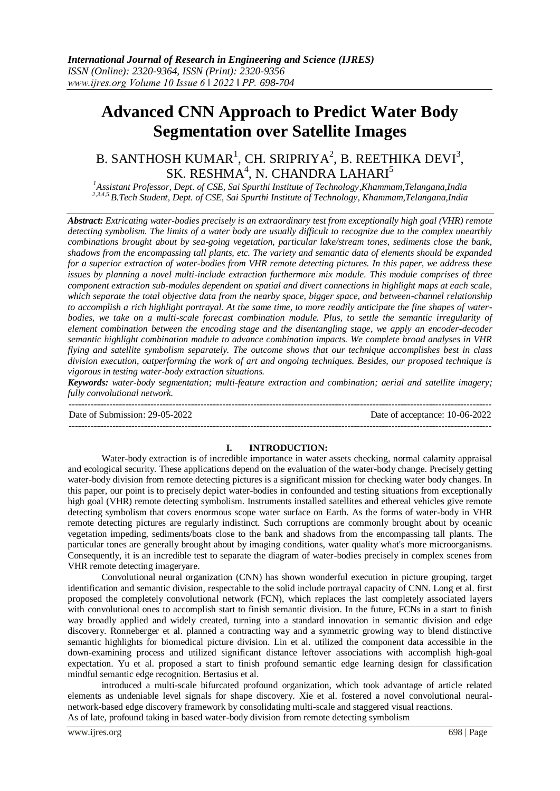# **Advanced CNN Approach to Predict Water Body Segmentation over Satellite Images**

# B. SANTHOSH KUMAR $^1$ , CH. SRIPRIYA $^2$ , B. REETHIKA DEVI $^3$ , SK. RESHMA $4$ , N. CHANDRA LAHARI $^5$

*<sup>1</sup>Assistant Professor, Dept. of CSE, Sai Spurthi Institute of Technology,Khammam,Telangana,India 2,3,4,5,B.Tech Student, Dept. of CSE, Sai Spurthi Institute of Technology, Khammam,Telangana,India*

*Abstract: Extricating water-bodies precisely is an extraordinary test from exceptionally high goal (VHR) remote detecting symbolism. The limits of a water body are usually difficult to recognize due to the complex unearthly combinations brought about by sea-going vegetation, particular lake/stream tones, sediments close the bank, shadows from the encompassing tall plants, etc. The variety and semantic data of elements should be expanded for a superior extraction of water-bodies from VHR remote detecting pictures. In this paper, we address these issues by planning a novel multi-include extraction furthermore mix module. This module comprises of three component extraction sub-modules dependent on spatial and divert connections in highlight maps at each scale, which separate the total objective data from the nearby space, bigger space, and between-channel relationship to accomplish a rich highlight portrayal. At the same time, to more readily anticipate the fine shapes of waterbodies, we take on a multi-scale forecast combination module. Plus, to settle the semantic irregularity of element combination between the encoding stage and the disentangling stage, we apply an encoder-decoder semantic highlight combination module to advance combination impacts. We complete broad analyses in VHR flying and satellite symbolism separately. The outcome shows that our technique accomplishes best in class division execution, outperforming the work of art and ongoing techniques. Besides, our proposed technique is vigorous in testing water-body extraction situations.*

*Keywords: water-body segmentation; multi-feature extraction and combination; aerial and satellite imagery; fully convolutional network.*

--------------------------------------------------------------------------------------------------------------------------------------- Date of Submission: 29-05-2022 Date of acceptance: 10-06-2022

---------------------------------------------------------------------------------------------------------------------------------------

#### **I. INTRODUCTION:**

Water-body extraction is of incredible importance in water assets checking, normal calamity appraisal and ecological security. These applications depend on the evaluation of the water-body change. Precisely getting water-body division from remote detecting pictures is a significant mission for checking water body changes. In this paper, our point is to precisely depict water-bodies in confounded and testing situations from exceptionally high goal (VHR) remote detecting symbolism. Instruments installed satellites and ethereal vehicles give remote detecting symbolism that covers enormous scope water surface on Earth. As the forms of water-body in VHR remote detecting pictures are regularly indistinct. Such corruptions are commonly brought about by oceanic vegetation impeding, sediments/boats close to the bank and shadows from the encompassing tall plants. The particular tones are generally brought about by imaging conditions, water quality what's more microorganisms. Consequently, it is an incredible test to separate the diagram of water-bodies precisely in complex scenes from VHR remote detecting imageryare.

Convolutional neural organization (CNN) has shown wonderful execution in picture grouping, target identification and semantic division, respectable to the solid include portrayal capacity of CNN. Long et al. first proposed the completely convolutional network (FCN), which replaces the last completely associated layers with convolutional ones to accomplish start to finish semantic division. In the future, FCNs in a start to finish way broadly applied and widely created, turning into a standard innovation in semantic division and edge discovery. Ronneberger et al. planned a contracting way and a symmetric growing way to blend distinctive semantic highlights for biomedical picture division. Lin et al. utilized the component data accessible in the down-examining process and utilized significant distance leftover associations with accomplish high-goal expectation. Yu et al. proposed a start to finish profound semantic edge learning design for classification mindful semantic edge recognition. Bertasius et al.

introduced a multi-scale bifurcated profound organization, which took advantage of article related elements as undeniable level signals for shape discovery. Xie et al. fostered a novel convolutional neuralnetwork-based edge discovery framework by consolidating multi-scale and staggered visual reactions. As of late, profound taking in based water-body division from remote detecting symbolism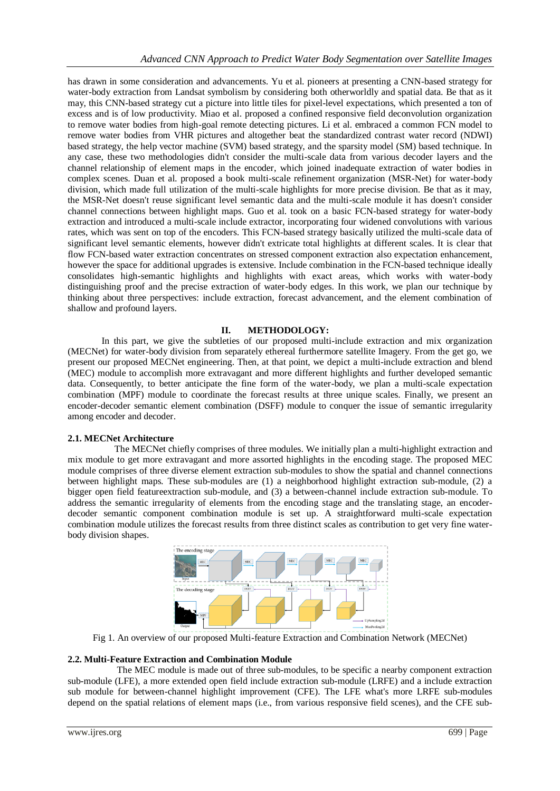has drawn in some consideration and advancements. Yu et al. pioneers at presenting a CNN-based strategy for water-body extraction from Landsat symbolism by considering both otherworldly and spatial data. Be that as it may, this CNN-based strategy cut a picture into little tiles for pixel-level expectations, which presented a ton of excess and is of low productivity. Miao et al. proposed a confined responsive field deconvolution organization to remove water bodies from high-goal remote detecting pictures. Li et al. embraced a common FCN model to remove water bodies from VHR pictures and altogether beat the standardized contrast water record (NDWI) based strategy, the help vector machine (SVM) based strategy, and the sparsity model (SM) based technique. In any case, these two methodologies didn't consider the multi-scale data from various decoder layers and the channel relationship of element maps in the encoder, which joined inadequate extraction of water bodies in complex scenes. Duan et al. proposed a book multi-scale refinement organization (MSR-Net) for water-body division, which made full utilization of the multi-scale highlights for more precise division. Be that as it may, the MSR-Net doesn't reuse significant level semantic data and the multi-scale module it has doesn't consider channel connections between highlight maps. Guo et al. took on a basic FCN-based strategy for water-body extraction and introduced a multi-scale include extractor, incorporating four widened convolutions with various rates, which was sent on top of the encoders. This FCN-based strategy basically utilized the multi-scale data of significant level semantic elements, however didn't extricate total highlights at different scales. It is clear that flow FCN-based water extraction concentrates on stressed component extraction also expectation enhancement, however the space for additional upgrades is extensive. Include combination in the FCN-based technique ideally consolidates high-semantic highlights and highlights with exact areas, which works with water-body distinguishing proof and the precise extraction of water-body edges. In this work, we plan our technique by thinking about three perspectives: include extraction, forecast advancement, and the element combination of shallow and profound layers.

# **II. METHODOLOGY:**

In this part, we give the subtleties of our proposed multi-include extraction and mix organization (MECNet) for water-body division from separately ethereal furthermore satellite Imagery. From the get go, we present our proposed MECNet engineering. Then, at that point, we depict a multi-include extraction and blend (MEC) module to accomplish more extravagant and more different highlights and further developed semantic data. Consequently, to better anticipate the fine form of the water-body, we plan a multi-scale expectation combination (MPF) module to coordinate the forecast results at three unique scales. Finally, we present an encoder-decoder semantic element combination (DSFF) module to conquer the issue of semantic irregularity among encoder and decoder.

#### **2.1. MECNet Architecture**

 The MECNet chiefly comprises of three modules. We initially plan a multi-highlight extraction and mix module to get more extravagant and more assorted highlights in the encoding stage. The proposed MEC module comprises of three diverse element extraction sub-modules to show the spatial and channel connections between highlight maps. These sub-modules are (1) a neighborhood highlight extraction sub-module, (2) a bigger open field featureextraction sub-module, and (3) a between-channel include extraction sub-module. To address the semantic irregularity of elements from the encoding stage and the translating stage, an encoderdecoder semantic component combination module is set up. A straightforward multi-scale expectation combination module utilizes the forecast results from three distinct scales as contribution to get very fine waterbody division shapes.



Fig 1. An overview of our proposed Multi-feature Extraction and Combination Network (MECNet)

#### **2.2. Multi-Feature Extraction and Combination Module**

 The MEC module is made out of three sub-modules, to be specific a nearby component extraction sub-module (LFE), a more extended open field include extraction sub-module (LRFE) and a include extraction sub module for between-channel highlight improvement (CFE). The LFE what's more LRFE sub-modules depend on the spatial relations of element maps (i.e., from various responsive field scenes), and the CFE sub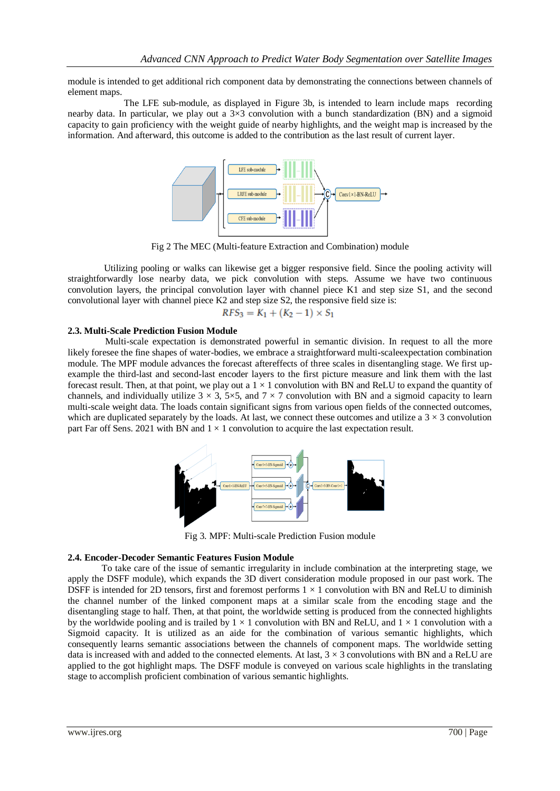module is intended to get additional rich component data by demonstrating the connections between channels of element maps.

 The LFE sub-module, as displayed in Figure 3b, is intended to learn include maps recording nearby data. In particular, we play out a  $3\times3$  convolution with a bunch standardization (BN) and a sigmoid capacity to gain proficiency with the weight guide of nearby highlights, and the weight map is increased by the information. And afterward, this outcome is added to the contribution as the last result of current layer.



Fig 2 The MEC (Multi-feature Extraction and Combination) module

Utilizing pooling or walks can likewise get a bigger responsive field. Since the pooling activity will straightforwardly lose nearby data, we pick convolution with steps. Assume we have two continuous convolution layers, the principal convolution layer with channel piece K1 and step size S1, and the second convolutional layer with channel piece K2 and step size S2, the responsive field size is:

$$
RFS_3 = K_1 + (K_2 - 1) \times S_1
$$

#### **2.3. Multi-Scale Prediction Fusion Module**

 Multi-scale expectation is demonstrated powerful in semantic division. In request to all the more likely foresee the fine shapes of water-bodies, we embrace a straightforward multi-scaleexpectation combination module. The MPF module advances the forecast aftereffects of three scales in disentangling stage. We first upexample the third-last and second-last encoder layers to the first picture measure and link them with the last forecast result. Then, at that point, we play out a  $1 \times 1$  convolution with BN and ReLU to expand the quantity of channels, and individually utilize  $3 \times 3$ ,  $5 \times 5$ , and  $7 \times 7$  convolution with BN and a sigmoid capacity to learn multi-scale weight data. The loads contain significant signs from various open fields of the connected outcomes, which are duplicated separately by the loads. At last, we connect these outcomes and utilize a  $3 \times 3$  convolution part Far off Sens. 2021 with BN and  $1 \times 1$  convolution to acquire the last expectation result.



Fig 3. MPF: Multi-scale Prediction Fusion module

#### **2.4. Encoder-Decoder Semantic Features Fusion Module**

To take care of the issue of semantic irregularity in include combination at the interpreting stage, we apply the DSFF module), which expands the 3D divert consideration module proposed in our past work. The DSFF is intended for 2D tensors, first and foremost performs  $1 \times 1$  convolution with BN and ReLU to diminish the channel number of the linked component maps at a similar scale from the encoding stage and the disentangling stage to half. Then, at that point, the worldwide setting is produced from the connected highlights by the worldwide pooling and is trailed by  $1 \times 1$  convolution with BN and ReLU, and  $1 \times 1$  convolution with a Sigmoid capacity. It is utilized as an aide for the combination of various semantic highlights, which consequently learns semantic associations between the channels of component maps. The worldwide setting data is increased with and added to the connected elements. At last,  $3 \times 3$  convolutions with BN and a ReLU are applied to the got highlight maps. The DSFF module is conveyed on various scale highlights in the translating stage to accomplish proficient combination of various semantic highlights.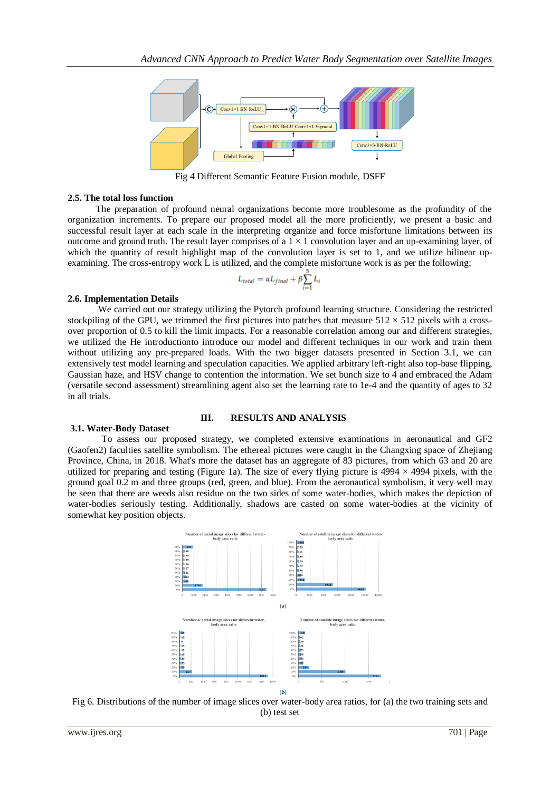

Fig 4 Different Semantic Feature Fusion module, DSFF

#### **2.5. The total loss function**

 The preparation of profound neural organizations become more troublesome as the profundity of the organization increments. To prepare our proposed model all the more proficiently, we present a basic and successful result layer at each scale in the interpreting organize and force misfortune limitations between its outcome and ground truth. The result layer comprises of a  $1 \times 1$  convolution layer and an up-examining layer, of which the quantity of result highlight map of the convolution layer is set to 1, and we utilize bilinear upexamining. The cross-entropy work L is utilized, and the complete misfortune work is as per the following:

$$
L_{total} = \alpha L_{final} + \beta \sum_{i=1}^{3} L_i
$$

#### **2.6. Implementation Details**

 We carried out our strategy utilizing the Pytorch profound learning structure. Considering the restricted stockpiling of the GPU, we trimmed the first pictures into patches that measure  $512 \times 512$  pixels with a crossover proportion of 0.5 to kill the limit impacts. For a reasonable correlation among our and different strategies, we utilized the He introductionto introduce our model and different techniques in our work and train them without utilizing any pre-prepared loads. With the two bigger datasets presented in Section 3.1, we can extensively test model learning and speculation capacities. We applied arbitrary left-right also top-base flipping, Gaussian haze, and HSV change to contention the information. We set bunch size to 4 and embraced the Adam (versatile second assessment) streamlining agent also set the learning rate to 1e-4 and the quantity of ages to 32 in all trials.

# **3.1. Water-Body Dataset**

# **III. RESULTS AND ANALYSIS**

To assess our proposed strategy, we completed extensive examinations in aeronautical and GF2 (Gaofen2) faculties satellite symbolism. The ethereal pictures were caught in the Changxing space of Zhejiang Province, China, in 2018. What's more the dataset has an aggregate of 83 pictures, from which 63 and 20 are utilized for preparing and testing (Figure 1a). The size of every flying picture is  $4994 \times 4994$  pixels, with the ground goal 0.2 m and three groups (red, green, and blue). From the aeronautical symbolism, it very well may be seen that there are weeds also residue on the two sides of some water-bodies, which makes the depiction of water-bodies seriously testing. Additionally, shadows are casted on some water-bodies at the vicinity of somewhat key position objects.



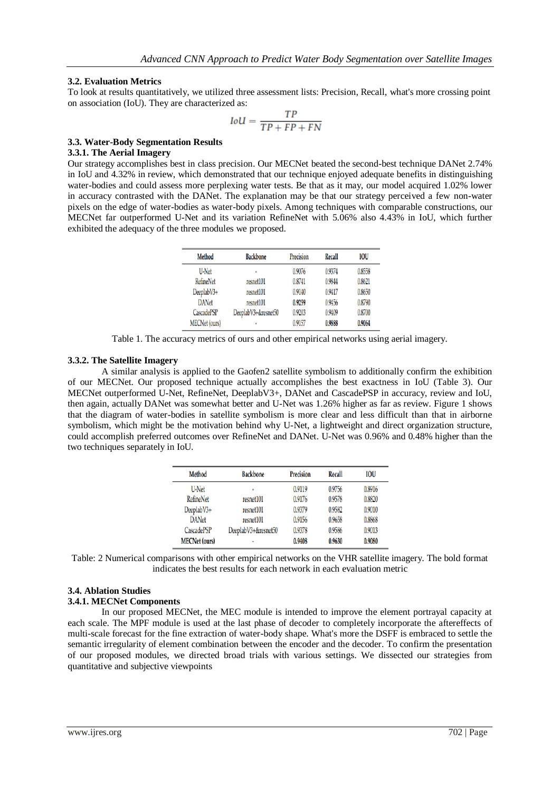### **3.2. Evaluation Metrics**

To look at results quantitatively, we utilized three assessment lists: Precision, Recall, what's more crossing point on association (IoU). They are characterized as:

$$
IoU = \frac{TP}{TP + FP + FN}
$$

#### **3.3. Water-Body Segmentation Results**

#### **3.3.1. The Aerial Imagery**

Our strategy accomplishes best in class precision. Our MECNet beated the second-best technique DANet 2.74% in IoU and 4.32% in review, which demonstrated that our technique enjoyed adequate benefits in distinguishing water-bodies and could assess more perplexing water tests. Be that as it may, our model acquired 1.02% lower in accuracy contrasted with the DANet. The explanation may be that our strategy perceived a few non-water pixels on the edge of water-bodies as water-body pixels. Among techniques with comparable constructions, our MECNet far outperformed U-Net and its variation RefineNet with 5.06% also 4.43% in IoU, which further exhibited the adequacy of the three modules we proposed.

| <b>Method</b>        | <b>Backbone</b>     | Precision | <b>Recall</b> | <b>IOU</b> |
|----------------------|---------------------|-----------|---------------|------------|
| U-Net                | ٠                   | 0.9076    | 0.9374        | 0.8558     |
| <b>RefineNet</b>     | resnet101           | 0.8741    | 0.9844        | 0.8621     |
| DeeplabV3+           | resnet101           | 0.9140    | 0.9417        | 0.8650     |
| <b>DANet</b>         | resnet101           | 0.9259    | 0.9456        | 0.8790     |
| CascadePSP           | DeeplabV3+&resnet50 | 0.9203    | 0.9409        | 0.8700     |
| <b>MECNet</b> (ours) | ٠                   | 0.9157    | 0.9888        | 0.9064     |

Table 1. The accuracy metrics of ours and other empirical networks using aerial imagery.

#### **3.3.2. The Satellite Imagery**

A similar analysis is applied to the Gaofen2 satellite symbolism to additionally confirm the exhibition of our MECNet. Our proposed technique actually accomplishes the best exactness in IoU (Table 3). Our MECNet outperformed U-Net, RefineNet, DeeplabV3+, DANet and CascadePSP in accuracy, review and IoU, then again, actually DANet was somewhat better and U-Net was 1.26% higher as far as review. Figure 1 shows that the diagram of water-bodies in satellite symbolism is more clear and less difficult than that in airborne symbolism, which might be the motivation behind why U-Net, a lightweight and direct organization structure, could accomplish preferred outcomes over RefineNet and DANet. U-Net was 0.96% and 0.48% higher than the two techniques separately in IoU.

| <b>Method</b>        | <b>Backbone</b>     | Precision | <b>Recall</b> | <b>IOU</b> |
|----------------------|---------------------|-----------|---------------|------------|
| U-Net                | $\blacksquare$      | 0.9119    | 0.9756        | 0.8916     |
| <b>RefineNet</b>     | resnet101           | 0.9176    | 0.9578        | 0.8820     |
| DeeplabV3+           | resnet101           | 0.9379    | 0.9582        | 0.9010     |
| <b>DANet</b>         | resnet101           | 0.9156    | 0.9658        | 0.8868     |
| CascadePSP           | DeeplabV3+&resnet50 | 0.9378    | 0.9586        | 0.9013     |
| <b>MECNet</b> (ours) | ٠                   | 0.9408    | 0.9630        | 0.9080     |

Table: 2 Numerical comparisons with other empirical networks on the VHR satellite imagery. The bold format indicates the best results for each network in each evaluation metric

# **3.4. Ablation Studies**

# **3.4.1. MECNet Components**

In our proposed MECNet, the MEC module is intended to improve the element portrayal capacity at each scale. The MPF module is used at the last phase of decoder to completely incorporate the aftereffects of multi-scale forecast for the fine extraction of water-body shape. What's more the DSFF is embraced to settle the semantic irregularity of element combination between the encoder and the decoder. To confirm the presentation of our proposed modules, we directed broad trials with various settings. We dissected our strategies from quantitative and subjective viewpoints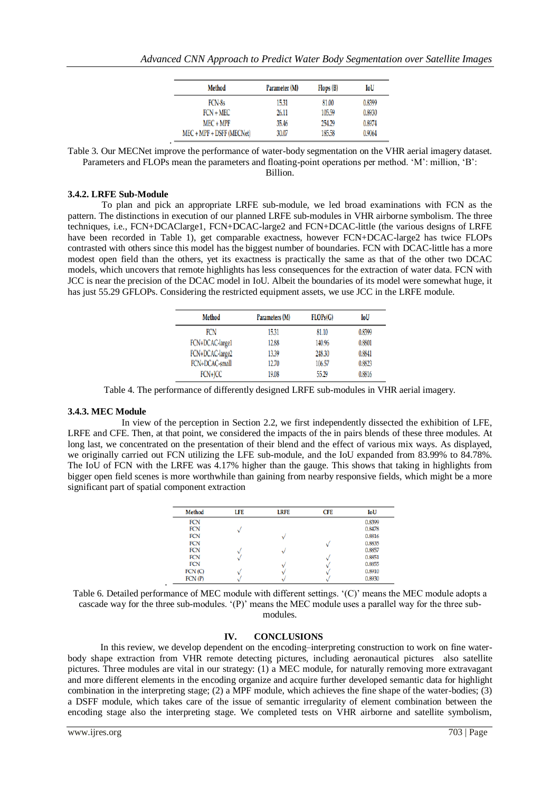| <b>Method</b>             | Parameter (M) | Flops (B) | IoU    |
|---------------------------|---------------|-----------|--------|
| FCN-8s                    | 15.31         | 81.00     | 0.8399 |
| $FCN + MEC$               | 26.11         | 105.59    | 0.8930 |
| $MEC + MPF$               | 35.46         | 254.29    | 0.8974 |
| MEC + MPF + DSFF (MECNet) | 30.07         | 185.58    | 0.9064 |

Table 3. Our MECNet improve the performance of water-body segmentation on the VHR aerial imagery dataset. Parameters and FLOPs mean the parameters and floating-point operations per method. 'M': million, 'B':

Billion.

#### **3.4.2. LRFE Sub-Module**

To plan and pick an appropriate LRFE sub-module, we led broad examinations with FCN as the pattern. The distinctions in execution of our planned LRFE sub-modules in VHR airborne symbolism. The three techniques, i.e., FCN+DCAClarge1, FCN+DCAC-large2 and FCN+DCAC-little (the various designs of LRFE have been recorded in Table 1), get comparable exactness, however FCN+DCAC-large2 has twice FLOPs contrasted with others since this model has the biggest number of boundaries. FCN with DCAC-little has a more modest open field than the others, yet its exactness is practically the same as that of the other two DCAC models, which uncovers that remote highlights has less consequences for the extraction of water data. FCN with JCC is near the precision of the DCAC model in IoU. Albeit the boundaries of its model were somewhat huge, it has just 55.29 GFLOPs. Considering the restricted equipment assets, we use JCC in the LRFE module.

| <b>Method</b>   | Parameters (M) | FLOPs(G) | IoU    |
|-----------------|----------------|----------|--------|
| <b>FCN</b>      | 15.31          | 81.10    | 0.8399 |
| FCN+DCAC-large1 | 12.88          | 140.96   | 0.8801 |
| FCN+DCAC-large2 | 13.39          | 248.30   | 0.8841 |
| FCN+DCAC-small  | 12.70          | 106.57   | 0.8823 |
| FCN+JCC         | 19.08          | 55.29    | 0.8816 |

Table 4. The performance of differently designed LRFE sub-modules in VHR aerial imagery.

#### **3.4.3. MEC Module**

.

 In view of the perception in Section 2.2, we first independently dissected the exhibition of LFE, LRFE and CFE. Then, at that point, we considered the impacts of the in pairs blends of these three modules. At long last, we concentrated on the presentation of their blend and the effect of various mix ways. As displayed, we originally carried out FCN utilizing the LFE sub-module, and the IoU expanded from 83.99% to 84.78%. The IoU of FCN with the LRFE was 4.17% higher than the gauge. This shows that taking in highlights from bigger open field scenes is more worthwhile than gaining from nearby responsive fields, which might be a more significant part of spatial component extraction

| <b>Method</b> | LFE | <b>LRFE</b> | <b>CFE</b> | IoU    |
|---------------|-----|-------------|------------|--------|
| <b>FCN</b>    |     |             |            | 0.8399 |
| <b>FCN</b>    |     |             |            | 0.8478 |
| <b>FCN</b>    |     |             |            | 0.8816 |
| <b>FCN</b>    |     |             |            | 0.8835 |
| <b>FCN</b>    |     |             |            | 0.8857 |
| <b>FCN</b>    |     |             |            | 0.8851 |
| <b>FCN</b>    |     |             |            | 0.8855 |
| FCN(C)        |     |             |            | 0.8910 |
| FCN(P)        |     |             |            | 0.8930 |
|               |     |             |            |        |

Table 6. Detailed performance of MEC module with different settings. '(C)' means the MEC module adopts a cascade way for the three sub-modules. '(P)' means the MEC module uses a parallel way for the three submodules.

#### **IV. CONCLUSIONS**

 In this review, we develop dependent on the encoding–interpreting construction to work on fine waterbody shape extraction from VHR remote detecting pictures, including aeronautical pictures also satellite pictures. Three modules are vital in our strategy: (1) a MEC module, for naturally removing more extravagant and more different elements in the encoding organize and acquire further developed semantic data for highlight combination in the interpreting stage; (2) a MPF module, which achieves the fine shape of the water-bodies; (3) a DSFF module, which takes care of the issue of semantic irregularity of element combination between the encoding stage also the interpreting stage. We completed tests on VHR airborne and satellite symbolism,